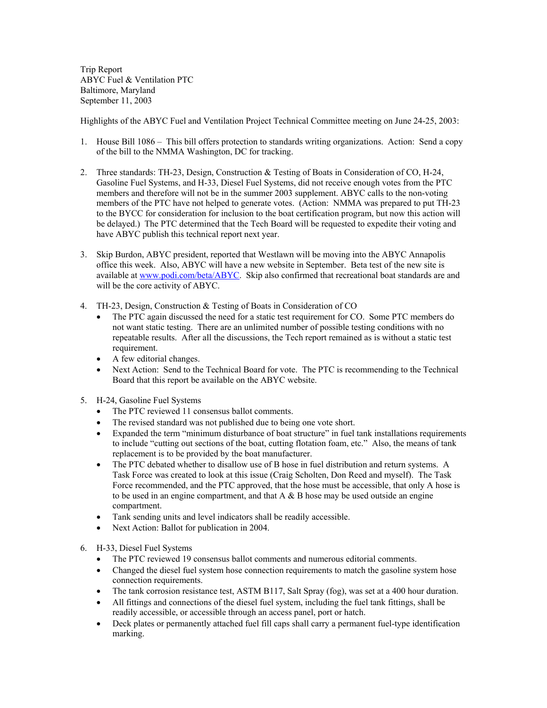Trip Report ABYC Fuel & Ventilation PTC Baltimore, Maryland September 11, 2003

Highlights of the ABYC Fuel and Ventilation Project Technical Committee meeting on June 24-25, 2003:

- 1. House Bill 1086 This bill offers protection to standards writing organizations. Action: Send a copy of the bill to the NMMA Washington, DC for tracking.
- 2. Three standards: TH-23, Design, Construction & Testing of Boats in Consideration of CO, H-24, Gasoline Fuel Systems, and H-33, Diesel Fuel Systems, did not receive enough votes from the PTC members and therefore will not be in the summer 2003 supplement. ABYC calls to the non-voting members of the PTC have not helped to generate votes. (Action: NMMA was prepared to put TH-23 to the BYCC for consideration for inclusion to the boat certification program, but now this action will be delayed.) The PTC determined that the Tech Board will be requested to expedite their voting and have ABYC publish this technical report next year.
- 3. Skip Burdon, ABYC president, reported that Westlawn will be moving into the ABYC Annapolis office this week. Also, ABYC will have a new website in September. Beta test of the new site is available at www.podi.com/beta/ABYC. Skip also confirmed that recreational boat standards are and will be the core activity of ABYC.
- 4. TH-23, Design, Construction & Testing of Boats in Consideration of CO
	- The PTC again discussed the need for a static test requirement for CO. Some PTC members do not want static testing. There are an unlimited number of possible testing conditions with no repeatable results. After all the discussions, the Tech report remained as is without a static test requirement.
	- A few editorial changes.
	- Next Action: Send to the Technical Board for vote. The PTC is recommending to the Technical Board that this report be available on the ABYC website.
- 5. H-24, Gasoline Fuel Systems
	- The PTC reviewed 11 consensus ballot comments.
	- The revised standard was not published due to being one vote short.
	- Expanded the term "minimum disturbance of boat structure" in fuel tank installations requirements to include "cutting out sections of the boat, cutting flotation foam, etc." Also, the means of tank replacement is to be provided by the boat manufacturer.
	- The PTC debated whether to disallow use of B hose in fuel distribution and return systems. A Task Force was created to look at this issue (Craig Scholten, Don Reed and myself). The Task Force recommended, and the PTC approved, that the hose must be accessible, that only A hose is to be used in an engine compartment, and that  $A \& B$  hose may be used outside an engine compartment.
	- Tank sending units and level indicators shall be readily accessible.
	- Next Action: Ballot for publication in 2004.
- 6. H-33, Diesel Fuel Systems
	- The PTC reviewed 19 consensus ballot comments and numerous editorial comments.
	- Changed the diesel fuel system hose connection requirements to match the gasoline system hose connection requirements.
	- The tank corrosion resistance test, ASTM B117, Salt Spray (fog), was set at a 400 hour duration.
	- All fittings and connections of the diesel fuel system, including the fuel tank fittings, shall be readily accessible, or accessible through an access panel, port or hatch.
	- Deck plates or permanently attached fuel fill caps shall carry a permanent fuel-type identification marking.